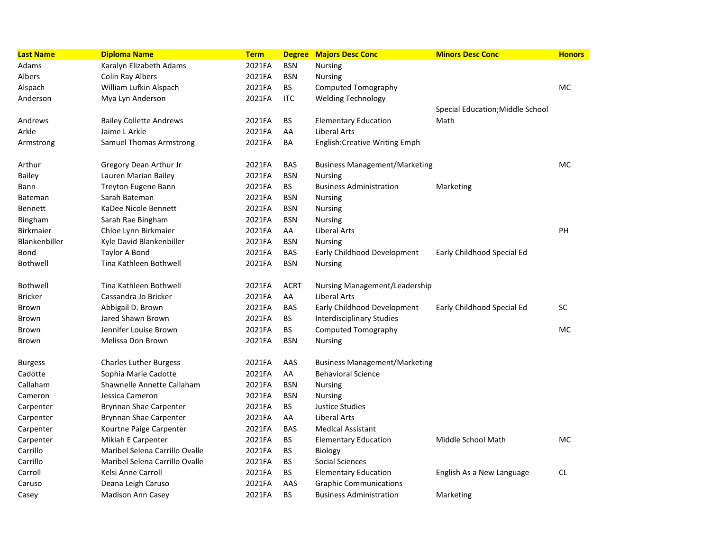| <b>Last Name</b> | <b>Diploma Name</b>            | <b>Term</b> |             | <b>Degree Majors Desc Conc</b>       | <b>Minors Desc Conc</b>          | <b>Honors</b> |
|------------------|--------------------------------|-------------|-------------|--------------------------------------|----------------------------------|---------------|
| Adams            | Karalyn Elizabeth Adams        | 2021FA      | <b>BSN</b>  | <b>Nursing</b>                       |                                  |               |
| Albers           | Colin Ray Albers               | 2021FA      | <b>BSN</b>  | <b>Nursing</b>                       |                                  |               |
| Alspach          | William Lufkin Alspach         | 2021FA      | BS          | <b>Computed Tomography</b>           |                                  | MC            |
| Anderson         | Mya Lyn Anderson               | 2021FA      | <b>ITC</b>  | <b>Welding Technology</b>            |                                  |               |
|                  |                                |             |             |                                      | Special Education; Middle School |               |
| Andrews          | <b>Bailey Collette Andrews</b> | 2021FA      | ВS          | <b>Elementary Education</b>          | Math                             |               |
| Arkle            | Jaime L Arkle                  | 2021FA      | AA          | Liberal Arts                         |                                  |               |
| Armstrong        | Samuel Thomas Armstrong        | 2021FA      | ΒA          | <b>English:Creative Writing Emph</b> |                                  |               |
| Arthur           | Gregory Dean Arthur Jr         | 2021FA      | <b>BAS</b>  | <b>Business Management/Marketing</b> |                                  | MC            |
| Bailey           | Lauren Marian Bailey           | 2021FA      | <b>BSN</b>  | <b>Nursing</b>                       |                                  |               |
| Bann             | Treyton Eugene Bann            | 2021FA      | <b>BS</b>   | <b>Business Administration</b>       | Marketing                        |               |
| <b>Bateman</b>   | Sarah Bateman                  | 2021FA      | <b>BSN</b>  | <b>Nursing</b>                       |                                  |               |
| <b>Bennett</b>   | KaDee Nicole Bennett           | 2021FA      | <b>BSN</b>  | <b>Nursing</b>                       |                                  |               |
| Bingham          | Sarah Rae Bingham              | 2021FA      | <b>BSN</b>  | <b>Nursing</b>                       |                                  |               |
| <b>Birkmaier</b> | Chloe Lynn Birkmaier           | 2021FA      | AA          | Liberal Arts                         |                                  | <b>PH</b>     |
| Blankenbiller    | Kyle David Blankenbiller       | 2021FA      | <b>BSN</b>  | <b>Nursing</b>                       |                                  |               |
| Bond             | Taylor A Bond                  | 2021FA      | <b>BAS</b>  | Early Childhood Development          | Early Childhood Special Ed       |               |
| Bothwell         | Tina Kathleen Bothwell         | 2021FA      | <b>BSN</b>  | <b>Nursing</b>                       |                                  |               |
| <b>Bothwell</b>  | Tina Kathleen Bothwell         | 2021FA      | <b>ACRT</b> | Nursing Management/Leadership        |                                  |               |
| <b>Bricker</b>   | Cassandra Jo Bricker           | 2021FA      | AA          | Liberal Arts                         |                                  |               |
| Brown            | Abbigail D. Brown              | 2021FA      | <b>BAS</b>  | Early Childhood Development          | Early Childhood Special Ed       | SC            |
| Brown            | Jared Shawn Brown              | 2021FA      | BS          | <b>Interdisciplinary Studies</b>     |                                  |               |
| Brown            | Jennifer Louise Brown          | 2021FA      | <b>BS</b>   | Computed Tomography                  |                                  | MC            |
| Brown            | Melissa Don Brown              | 2021FA      | <b>BSN</b>  | <b>Nursing</b>                       |                                  |               |
| <b>Burgess</b>   | <b>Charles Luther Burgess</b>  | 2021FA      | AAS         | <b>Business Management/Marketing</b> |                                  |               |
| Cadotte          | Sophia Marie Cadotte           | 2021FA      | AA          | <b>Behavioral Science</b>            |                                  |               |
| Callaham         | Shawnelle Annette Callaham     | 2021FA      | <b>BSN</b>  | <b>Nursing</b>                       |                                  |               |
| Cameron          | Jessica Cameron                | 2021FA      | <b>BSN</b>  | <b>Nursing</b>                       |                                  |               |
| Carpenter        | Brynnan Shae Carpenter         | 2021FA      | <b>BS</b>   | Justice Studies                      |                                  |               |
| Carpenter        | Brynnan Shae Carpenter         | 2021FA      | AA          | Liberal Arts                         |                                  |               |
| Carpenter        | Kourtne Paige Carpenter        | 2021FA      | <b>BAS</b>  | <b>Medical Assistant</b>             |                                  |               |
| Carpenter        | Mikiah E Carpenter             | 2021FA      | BS          | <b>Elementary Education</b>          | Middle School Math               | МC            |
| Carrillo         | Maribel Selena Carrillo Ovalle | 2021FA      | BS          | <b>Biology</b>                       |                                  |               |
| Carrillo         | Maribel Selena Carrillo Ovalle | 2021FA      | <b>BS</b>   | Social Sciences                      |                                  |               |
| Carroll          | Kelsi Anne Carroll             | 2021FA      | BS          | <b>Elementary Education</b>          | English As a New Language        | CL.           |
| Caruso           | Deana Leigh Caruso             | 2021FA      | AAS         | <b>Graphic Communications</b>        |                                  |               |
| Casey            | Madison Ann Casey              | 2021FA      | <b>BS</b>   | <b>Business Administration</b>       | Marketing                        |               |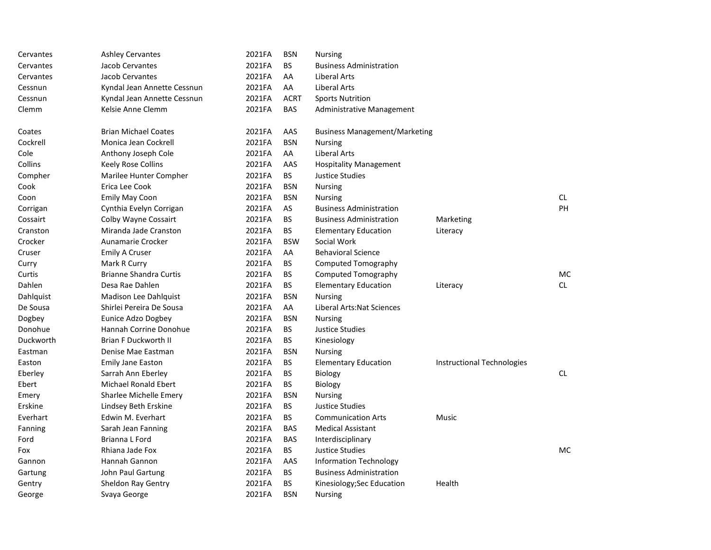| Cervantes | <b>Ashley Cervantes</b>       | 2021FA | <b>BSN</b>  | <b>Nursing</b>                       |                            |     |
|-----------|-------------------------------|--------|-------------|--------------------------------------|----------------------------|-----|
| Cervantes | Jacob Cervantes               | 2021FA | <b>BS</b>   | <b>Business Administration</b>       |                            |     |
| Cervantes | Jacob Cervantes               | 2021FA | AA          | Liberal Arts                         |                            |     |
| Cessnun   | Kyndal Jean Annette Cessnun   | 2021FA | AA          | Liberal Arts                         |                            |     |
| Cessnun   | Kyndal Jean Annette Cessnun   | 2021FA | <b>ACRT</b> | <b>Sports Nutrition</b>              |                            |     |
| Clemm     | Kelsie Anne Clemm             | 2021FA | <b>BAS</b>  | Administrative Management            |                            |     |
| Coates    | <b>Brian Michael Coates</b>   | 2021FA | AAS         | <b>Business Management/Marketing</b> |                            |     |
| Cockrell  | Monica Jean Cockrell          | 2021FA | <b>BSN</b>  | <b>Nursing</b>                       |                            |     |
| Cole      | Anthony Joseph Cole           | 2021FA | AA          | Liberal Arts                         |                            |     |
| Collins   | Keely Rose Collins            | 2021FA | AAS         | <b>Hospitality Management</b>        |                            |     |
| Compher   | Marilee Hunter Compher        | 2021FA | BS          | <b>Justice Studies</b>               |                            |     |
| Cook      | Erica Lee Cook                | 2021FA | <b>BSN</b>  | <b>Nursing</b>                       |                            |     |
| Coon      | Emily May Coon                | 2021FA | <b>BSN</b>  | <b>Nursing</b>                       |                            | CL. |
| Corrigan  | Cynthia Evelyn Corrigan       | 2021FA | AS          | <b>Business Administration</b>       |                            | PH  |
| Cossairt  | Colby Wayne Cossairt          | 2021FA | BS.         | <b>Business Administration</b>       | Marketing                  |     |
| Cranston  | Miranda Jade Cranston         | 2021FA | BS          | <b>Elementary Education</b>          | Literacy                   |     |
| Crocker   | Aunamarie Crocker             | 2021FA | <b>BSW</b>  | Social Work                          |                            |     |
| Cruser    | <b>Emily A Cruser</b>         | 2021FA | AA          | <b>Behavioral Science</b>            |                            |     |
| Curry     | Mark R Curry                  | 2021FA | BS          | <b>Computed Tomography</b>           |                            |     |
| Curtis    | <b>Brianne Shandra Curtis</b> | 2021FA | BS          | <b>Computed Tomography</b>           |                            | МC  |
| Dahlen    | Desa Rae Dahlen               | 2021FA | <b>BS</b>   | <b>Elementary Education</b>          | Literacy                   | CL. |
| Dahlquist | <b>Madison Lee Dahlquist</b>  | 2021FA | <b>BSN</b>  | <b>Nursing</b>                       |                            |     |
| De Sousa  | Shirlei Pereira De Sousa      | 2021FA | AA          | Liberal Arts: Nat Sciences           |                            |     |
| Dogbey    | Eunice Adzo Dogbey            | 2021FA | <b>BSN</b>  | <b>Nursing</b>                       |                            |     |
| Donohue   | Hannah Corrine Donohue        | 2021FA | BS          | Justice Studies                      |                            |     |
| Duckworth | <b>Brian F Duckworth II</b>   | 2021FA | ВS          | Kinesiology                          |                            |     |
| Eastman   | Denise Mae Eastman            | 2021FA | <b>BSN</b>  | <b>Nursing</b>                       |                            |     |
| Easton    | <b>Emily Jane Easton</b>      | 2021FA | BS          | <b>Elementary Education</b>          | Instructional Technologies |     |
| Eberley   | Sarrah Ann Eberley            | 2021FA | BS.         | <b>Biology</b>                       |                            | CL. |
| Ebert     | <b>Michael Ronald Ebert</b>   | 2021FA | BS.         | Biology                              |                            |     |
| Emery     | Sharlee Michelle Emery        | 2021FA | <b>BSN</b>  | <b>Nursing</b>                       |                            |     |
| Erskine   | Lindsey Beth Erskine          | 2021FA | ВS          | <b>Justice Studies</b>               |                            |     |
| Everhart  | Edwin M. Everhart             | 2021FA | BS          | <b>Communication Arts</b>            | Music                      |     |
| Fanning   | Sarah Jean Fanning            | 2021FA | <b>BAS</b>  | <b>Medical Assistant</b>             |                            |     |
| Ford      | Brianna L Ford                | 2021FA | <b>BAS</b>  | Interdisciplinary                    |                            |     |
| Fox       | Rhiana Jade Fox               | 2021FA | <b>BS</b>   | Justice Studies                      |                            | MC. |
| Gannon    | Hannah Gannon                 | 2021FA | AAS         | <b>Information Technology</b>        |                            |     |
| Gartung   | John Paul Gartung             | 2021FA | ВS          | <b>Business Administration</b>       |                            |     |
| Gentry    | Sheldon Ray Gentry            | 2021FA | BS          | Kinesiology; Sec Education           | Health                     |     |
| George    | Svaya George                  | 2021FA | <b>BSN</b>  | <b>Nursing</b>                       |                            |     |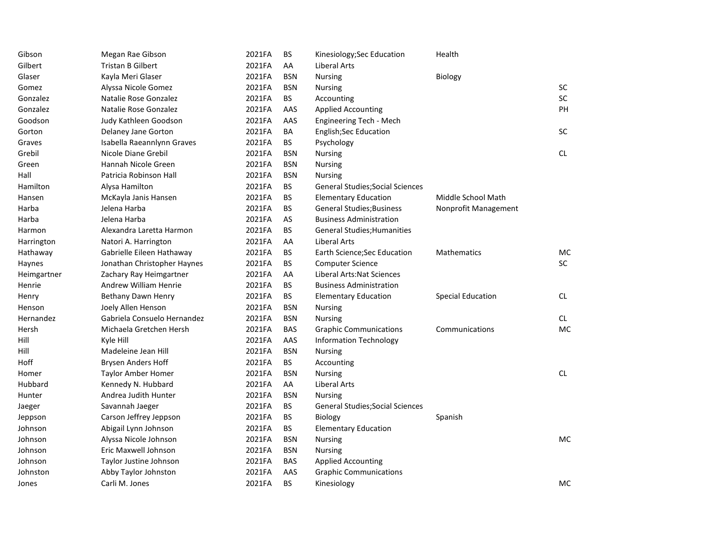| Gibson      | Megan Rae Gibson            | 2021FA | BS         | Kinesiology; Sec Education              | Health               |            |
|-------------|-----------------------------|--------|------------|-----------------------------------------|----------------------|------------|
| Gilbert     | <b>Tristan B Gilbert</b>    | 2021FA | AA         | Liberal Arts                            |                      |            |
| Glaser      | Kayla Meri Glaser           | 2021FA | <b>BSN</b> | <b>Nursing</b>                          | Biology              |            |
| Gomez       | Alyssa Nicole Gomez         | 2021FA | <b>BSN</b> | Nursing                                 |                      | SC         |
| Gonzalez    | Natalie Rose Gonzalez       | 2021FA | <b>BS</b>  | Accounting                              |                      | SC         |
| Gonzalez    | Natalie Rose Gonzalez       | 2021FA | AAS        | <b>Applied Accounting</b>               |                      | PH         |
| Goodson     | Judy Kathleen Goodson       | 2021FA | AAS        | Engineering Tech - Mech                 |                      |            |
| Gorton      | Delaney Jane Gorton         | 2021FA | BA         | English;Sec Education                   |                      | <b>SC</b>  |
| Graves      | Isabella Raeannlynn Graves  | 2021FA | BS         | Psychology                              |                      |            |
| Grebil      | Nicole Diane Grebil         | 2021FA | <b>BSN</b> | <b>Nursing</b>                          |                      | ${\sf CL}$ |
| Green       | Hannah Nicole Green         | 2021FA | <b>BSN</b> | <b>Nursing</b>                          |                      |            |
| Hall        | Patricia Robinson Hall      | 2021FA | <b>BSN</b> | <b>Nursing</b>                          |                      |            |
| Hamilton    | Alysa Hamilton              | 2021FA | BS         | General Studies; Social Sciences        |                      |            |
| Hansen      | McKayla Janis Hansen        | 2021FA | <b>BS</b>  | <b>Elementary Education</b>             | Middle School Math   |            |
| Harba       | Jelena Harba                | 2021FA | <b>BS</b>  | <b>General Studies; Business</b>        | Nonprofit Management |            |
| Harba       | Jelena Harba                | 2021FA | AS         | <b>Business Administration</b>          |                      |            |
| Harmon      | Alexandra Laretta Harmon    | 2021FA | <b>BS</b>  | <b>General Studies; Humanities</b>      |                      |            |
| Harrington  | Natori A. Harrington        | 2021FA | AA         | <b>Liberal Arts</b>                     |                      |            |
| Hathaway    | Gabrielle Eileen Hathaway   | 2021FA | <b>BS</b>  | Earth Science; Sec Education            | Mathematics          | MC         |
| Haynes      | Jonathan Christopher Haynes | 2021FA | <b>BS</b>  | <b>Computer Science</b>                 |                      | SC         |
| Heimgartner | Zachary Ray Heimgartner     | 2021FA | AA         | Liberal Arts: Nat Sciences              |                      |            |
| Henrie      | Andrew William Henrie       | 2021FA | <b>BS</b>  | <b>Business Administration</b>          |                      |            |
| Henry       | Bethany Dawn Henry          | 2021FA | BS         | <b>Elementary Education</b>             | Special Education    | CL         |
| Henson      | Joely Allen Henson          | 2021FA | <b>BSN</b> | Nursing                                 |                      |            |
| Hernandez   | Gabriela Consuelo Hernandez | 2021FA | <b>BSN</b> | <b>Nursing</b>                          |                      | CL         |
| Hersh       | Michaela Gretchen Hersh     | 2021FA | <b>BAS</b> | <b>Graphic Communications</b>           | Communications       | MC         |
| Hill        | Kyle Hill                   | 2021FA | AAS        | <b>Information Technology</b>           |                      |            |
| Hill        | Madeleine Jean Hill         | 2021FA | <b>BSN</b> | <b>Nursing</b>                          |                      |            |
| Hoff        | Brysen Anders Hoff          | 2021FA | <b>BS</b>  | Accounting                              |                      |            |
| Homer       | <b>Taylor Amber Homer</b>   | 2021FA | <b>BSN</b> | <b>Nursing</b>                          |                      | CL.        |
| Hubbard     | Kennedy N. Hubbard          | 2021FA | AA         | Liberal Arts                            |                      |            |
| Hunter      | Andrea Judith Hunter        | 2021FA | <b>BSN</b> | <b>Nursing</b>                          |                      |            |
| Jaeger      | Savannah Jaeger             | 2021FA | BS         | <b>General Studies; Social Sciences</b> |                      |            |
| Jeppson     | Carson Jeffrey Jeppson      | 2021FA | <b>BS</b>  | <b>Biology</b>                          | Spanish              |            |
| Johnson     | Abigail Lynn Johnson        | 2021FA | <b>BS</b>  | <b>Elementary Education</b>             |                      |            |
| Johnson     | Alyssa Nicole Johnson       | 2021FA | <b>BSN</b> | Nursing                                 |                      | MC         |
| Johnson     | Eric Maxwell Johnson        | 2021FA | <b>BSN</b> | Nursing                                 |                      |            |
| Johnson     | Taylor Justine Johnson      | 2021FA | <b>BAS</b> | <b>Applied Accounting</b>               |                      |            |
| Johnston    | Abby Taylor Johnston        | 2021FA | AAS        | <b>Graphic Communications</b>           |                      |            |
| Jones       | Carli M. Jones              | 2021FA | <b>BS</b>  | Kinesiology                             |                      | MC         |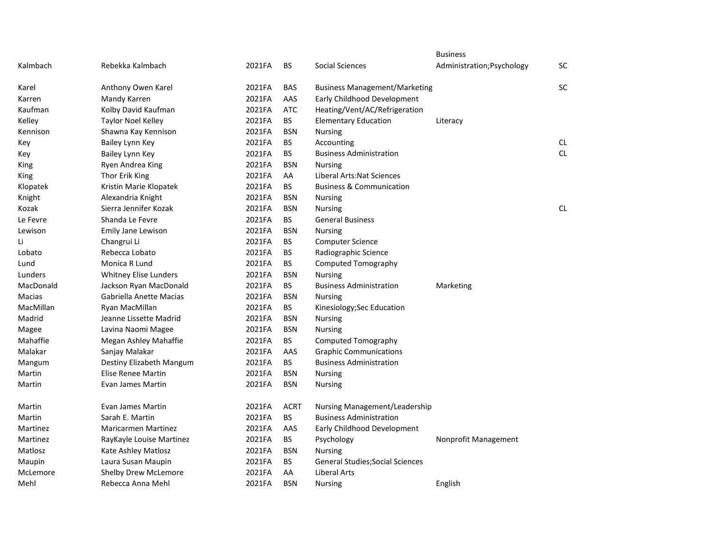|           |                              |        |             |                                         | <b>Business</b>            |           |
|-----------|------------------------------|--------|-------------|-----------------------------------------|----------------------------|-----------|
| Kalmbach  | Rebekka Kalmbach             | 2021FA | BS          | Social Sciences                         | Administration; Psychology | SC        |
| Karel     | Anthony Owen Karel           | 2021FA | <b>BAS</b>  | <b>Business Management/Marketing</b>    |                            | SC        |
| Karren    | Mandy Karren                 | 2021FA | AAS         | Early Childhood Development             |                            |           |
| Kaufman   | Kolby David Kaufman          | 2021FA | <b>ATC</b>  | Heating/Vent/AC/Refrigeration           |                            |           |
| Kelley    | Taylor Noel Kelley           | 2021FA | <b>BS</b>   | <b>Elementary Education</b>             | Literacy                   |           |
| Kennison  | Shawna Kay Kennison          | 2021FA | <b>BSN</b>  | Nursing                                 |                            |           |
| Key       | Bailey Lynn Key              | 2021FA | <b>BS</b>   | Accounting                              |                            | CL        |
| Key       | Bailey Lynn Key              | 2021FA | <b>BS</b>   | <b>Business Administration</b>          |                            | <b>CL</b> |
| King      | Ryen Andrea King             | 2021FA | <b>BSN</b>  | <b>Nursing</b>                          |                            |           |
| King      | Thor Erik King               | 2021FA | AA          | Liberal Arts: Nat Sciences              |                            |           |
| Klopatek  | Kristin Marie Klopatek       | 2021FA | <b>BS</b>   | <b>Business &amp; Communication</b>     |                            |           |
| Knight    | Alexandria Knight            | 2021FA | <b>BSN</b>  | <b>Nursing</b>                          |                            |           |
| Kozak     | Sierra Jennifer Kozak        | 2021FA | <b>BSN</b>  | <b>Nursing</b>                          |                            | <b>CL</b> |
| Le Fevre  | Shanda Le Fevre              | 2021FA | <b>BS</b>   | <b>General Business</b>                 |                            |           |
| Lewison   | Emily Jane Lewison           | 2021FA | <b>BSN</b>  | <b>Nursing</b>                          |                            |           |
| Li        | Changrui Li                  | 2021FA | <b>BS</b>   | <b>Computer Science</b>                 |                            |           |
| Lobato    | Rebecca Lobato               | 2021FA | <b>BS</b>   | Radiographic Science                    |                            |           |
| Lund      | Monica R Lund                | 2021FA | BS          | <b>Computed Tomography</b>              |                            |           |
| Lunders   | <b>Whitney Elise Lunders</b> | 2021FA | <b>BSN</b>  | <b>Nursing</b>                          |                            |           |
| MacDonald | Jackson Ryan MacDonald       | 2021FA | BS.         | <b>Business Administration</b>          | Marketing                  |           |
| Macias    | Gabriella Anette Macias      | 2021FA | <b>BSN</b>  | Nursing                                 |                            |           |
| MacMillan | Ryan MacMillan               | 2021FA | <b>BS</b>   | Kinesiology; Sec Education              |                            |           |
| Madrid    | Jeanne Lissette Madrid       | 2021FA | <b>BSN</b>  | <b>Nursing</b>                          |                            |           |
| Magee     | Lavina Naomi Magee           | 2021FA | <b>BSN</b>  | <b>Nursing</b>                          |                            |           |
| Mahaffie  | Megan Ashley Mahaffie        | 2021FA | <b>BS</b>   | <b>Computed Tomography</b>              |                            |           |
| Malakar   | Sanjay Malakar               | 2021FA | AAS         | <b>Graphic Communications</b>           |                            |           |
| Mangum    | Destiny Elizabeth Mangum     | 2021FA | <b>BS</b>   | <b>Business Administration</b>          |                            |           |
| Martin    | Elise Renee Martin           | 2021FA | <b>BSN</b>  | <b>Nursing</b>                          |                            |           |
| Martin    | Evan James Martin            | 2021FA | <b>BSN</b>  | Nursing                                 |                            |           |
| Martin    | Evan James Martin            | 2021FA | <b>ACRT</b> | Nursing Management/Leadership           |                            |           |
| Martin    | Sarah E. Martin              | 2021FA | <b>BS</b>   | <b>Business Administration</b>          |                            |           |
| Martinez  | <b>Maricarmen Martinez</b>   | 2021FA | AAS         | Early Childhood Development             |                            |           |
| Martinez  | RayKayle Louise Martinez     | 2021FA | <b>BS</b>   | Psychology                              | Nonprofit Management       |           |
| Matlosz   | Kate Ashley Matlosz          | 2021FA | <b>BSN</b>  | <b>Nursing</b>                          |                            |           |
| Maupin    | Laura Susan Maupin           | 2021FA | <b>BS</b>   | <b>General Studies; Social Sciences</b> |                            |           |
| McLemore  | Shelby Drew McLemore         | 2021FA | AA          | <b>Liberal Arts</b>                     |                            |           |
| Mehl      | Rebecca Anna Mehl            | 2021FA | <b>BSN</b>  | <b>Nursing</b>                          | English                    |           |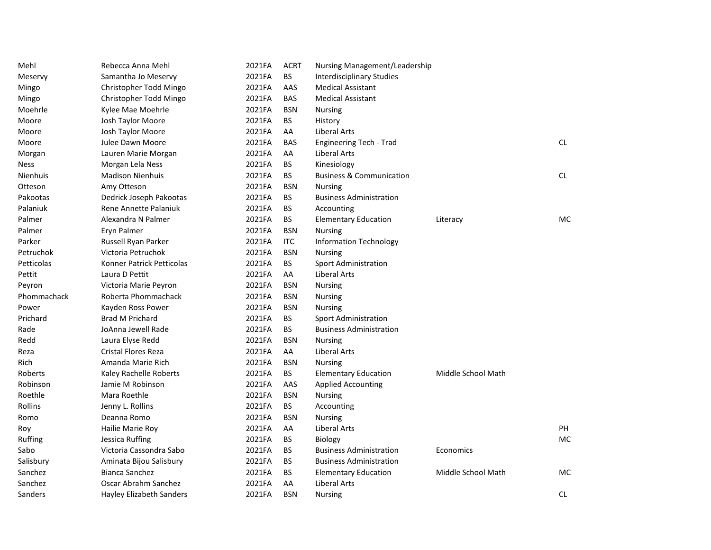| Mehl        | Rebecca Anna Mehl          | 2021FA | <b>ACRT</b> | Nursing Management/Leadership       |                    |           |
|-------------|----------------------------|--------|-------------|-------------------------------------|--------------------|-----------|
| Meservy     | Samantha Jo Meservy        | 2021FA | <b>BS</b>   | <b>Interdisciplinary Studies</b>    |                    |           |
| Mingo       | Christopher Todd Mingo     | 2021FA | AAS         | <b>Medical Assistant</b>            |                    |           |
| Mingo       | Christopher Todd Mingo     | 2021FA | <b>BAS</b>  | <b>Medical Assistant</b>            |                    |           |
| Moehrle     | Kylee Mae Moehrle          | 2021FA | <b>BSN</b>  | <b>Nursing</b>                      |                    |           |
| Moore       | Josh Taylor Moore          | 2021FA | <b>BS</b>   | History                             |                    |           |
| Moore       | Josh Taylor Moore          | 2021FA | AA          | Liberal Arts                        |                    |           |
| Moore       | Julee Dawn Moore           | 2021FA | <b>BAS</b>  | Engineering Tech - Trad             |                    | CL.       |
| Morgan      | Lauren Marie Morgan        | 2021FA | AA          | <b>Liberal Arts</b>                 |                    |           |
| Ness        | Morgan Lela Ness           | 2021FA | <b>BS</b>   | Kinesiology                         |                    |           |
| Nienhuis    | <b>Madison Nienhuis</b>    | 2021FA | <b>BS</b>   | <b>Business &amp; Communication</b> |                    | CL.       |
| Otteson     | Amy Otteson                | 2021FA | <b>BSN</b>  | <b>Nursing</b>                      |                    |           |
| Pakootas    | Dedrick Joseph Pakootas    | 2021FA | <b>BS</b>   | <b>Business Administration</b>      |                    |           |
| Palaniuk    | Rene Annette Palaniuk      | 2021FA | <b>BS</b>   | Accounting                          |                    |           |
| Palmer      | Alexandra N Palmer         | 2021FA | BS.         | <b>Elementary Education</b>         | Literacy           | MC        |
| Palmer      | Eryn Palmer                | 2021FA | <b>BSN</b>  | <b>Nursing</b>                      |                    |           |
| Parker      | Russell Ryan Parker        | 2021FA | <b>ITC</b>  | <b>Information Technology</b>       |                    |           |
| Petruchok   | Victoria Petruchok         | 2021FA | <b>BSN</b>  | <b>Nursing</b>                      |                    |           |
| Petticolas  | Konner Patrick Petticolas  | 2021FA | <b>BS</b>   | <b>Sport Administration</b>         |                    |           |
| Pettit      | Laura D Pettit             | 2021FA | AA          | Liberal Arts                        |                    |           |
| Peyron      | Victoria Marie Peyron      | 2021FA | <b>BSN</b>  | <b>Nursing</b>                      |                    |           |
| Phommachack | Roberta Phommachack        | 2021FA | <b>BSN</b>  | <b>Nursing</b>                      |                    |           |
| Power       | Kayden Ross Power          | 2021FA | <b>BSN</b>  | <b>Nursing</b>                      |                    |           |
| Prichard    | <b>Brad M Prichard</b>     | 2021FA | BS.         | <b>Sport Administration</b>         |                    |           |
| Rade        | JoAnna Jewell Rade         | 2021FA | <b>BS</b>   | <b>Business Administration</b>      |                    |           |
| Redd        | Laura Elyse Redd           | 2021FA | <b>BSN</b>  | <b>Nursing</b>                      |                    |           |
| Reza        | <b>Cristal Flores Reza</b> | 2021FA | AA          | Liberal Arts                        |                    |           |
| Rich        | Amanda Marie Rich          | 2021FA | <b>BSN</b>  | Nursing                             |                    |           |
| Roberts     | Kaley Rachelle Roberts     | 2021FA | BS          | <b>Elementary Education</b>         | Middle School Math |           |
| Robinson    | Jamie M Robinson           | 2021FA | AAS         | <b>Applied Accounting</b>           |                    |           |
| Roethle     | Mara Roethle               | 2021FA | <b>BSN</b>  | <b>Nursing</b>                      |                    |           |
| Rollins     | Jenny L. Rollins           | 2021FA | <b>BS</b>   | Accounting                          |                    |           |
| Romo        | Deanna Romo                | 2021FA | <b>BSN</b>  | <b>Nursing</b>                      |                    |           |
| Roy         | Hailie Marie Roy           | 2021FA | AA          | Liberal Arts                        |                    | <b>PH</b> |
| Ruffing     | Jessica Ruffing            | 2021FA | <b>BS</b>   | <b>Biology</b>                      |                    | МC        |
| Sabo        | Victoria Cassondra Sabo    | 2021FA | <b>BS</b>   | <b>Business Administration</b>      | Economics          |           |
| Salisbury   | Aminata Bijou Salisbury    | 2021FA | <b>BS</b>   | <b>Business Administration</b>      |                    |           |
| Sanchez     | <b>Bianca Sanchez</b>      | 2021FA | <b>BS</b>   | <b>Elementary Education</b>         | Middle School Math | MC        |
| Sanchez     | Oscar Abrahm Sanchez       | 2021FA | AA          | <b>Liberal Arts</b>                 |                    |           |
| Sanders     | Hayley Elizabeth Sanders   | 2021FA | <b>BSN</b>  | <b>Nursing</b>                      |                    | <b>CL</b> |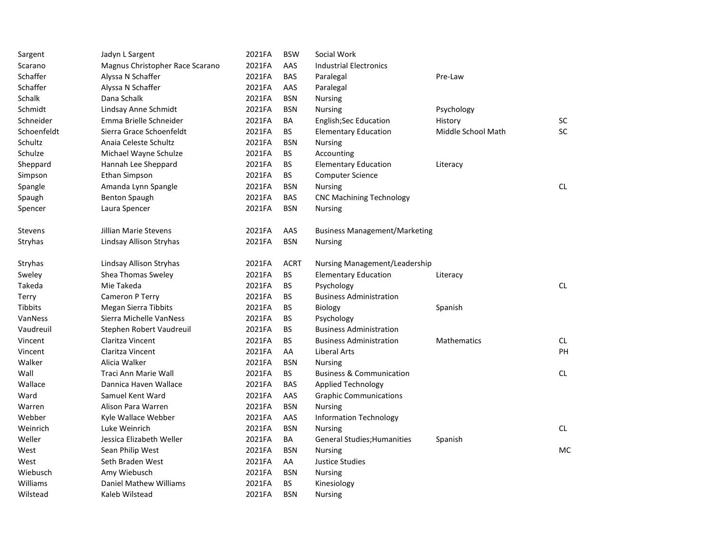| Sargent     | Jadyn L Sargent                 | 2021FA | <b>BSW</b>  | Social Work                          |                    |           |
|-------------|---------------------------------|--------|-------------|--------------------------------------|--------------------|-----------|
| Scarano     | Magnus Christopher Race Scarano | 2021FA | AAS         | <b>Industrial Electronics</b>        |                    |           |
| Schaffer    | Alyssa N Schaffer               | 2021FA | <b>BAS</b>  | Paralegal                            | Pre-Law            |           |
| Schaffer    | Alyssa N Schaffer               | 2021FA | AAS         | Paralegal                            |                    |           |
| Schalk      | Dana Schalk                     | 2021FA | <b>BSN</b>  | <b>Nursing</b>                       |                    |           |
| Schmidt     | Lindsay Anne Schmidt            | 2021FA | <b>BSN</b>  | Nursing                              | Psychology         |           |
| Schneider   | Emma Brielle Schneider          | 2021FA | BA          | <b>English;Sec Education</b>         | History            | <b>SC</b> |
| Schoenfeldt | Sierra Grace Schoenfeldt        | 2021FA | <b>BS</b>   | <b>Elementary Education</b>          | Middle School Math | <b>SC</b> |
| Schultz     | Anaia Celeste Schultz           | 2021FA | <b>BSN</b>  | <b>Nursing</b>                       |                    |           |
| Schulze     | Michael Wayne Schulze           | 2021FA | BS.         | Accounting                           |                    |           |
| Sheppard    | Hannah Lee Sheppard             | 2021FA | <b>BS</b>   | <b>Elementary Education</b>          | Literacy           |           |
| Simpson     | <b>Ethan Simpson</b>            | 2021FA | <b>BS</b>   | <b>Computer Science</b>              |                    |           |
| Spangle     | Amanda Lynn Spangle             | 2021FA | <b>BSN</b>  | <b>Nursing</b>                       |                    | <b>CL</b> |
| Spaugh      | <b>Benton Spaugh</b>            | 2021FA | <b>BAS</b>  | <b>CNC Machining Technology</b>      |                    |           |
| Spencer     | Laura Spencer                   | 2021FA | <b>BSN</b>  | <b>Nursing</b>                       |                    |           |
| Stevens     | <b>Jillian Marie Stevens</b>    | 2021FA | AAS         | <b>Business Management/Marketing</b> |                    |           |
| Stryhas     | Lindsay Allison Stryhas         | 2021FA | <b>BSN</b>  | <b>Nursing</b>                       |                    |           |
| Stryhas     | Lindsay Allison Stryhas         | 2021FA | <b>ACRT</b> | Nursing Management/Leadership        |                    |           |
| Sweley      | Shea Thomas Sweley              | 2021FA | BS.         | <b>Elementary Education</b>          | Literacy           |           |
| Takeda      | Mie Takeda                      | 2021FA | BS          | Psychology                           |                    | <b>CL</b> |
| Terry       | Cameron P Terry                 | 2021FA | <b>BS</b>   | <b>Business Administration</b>       |                    |           |
| Tibbits     | <b>Megan Sierra Tibbits</b>     | 2021FA | BS          | Biology                              | Spanish            |           |
| VanNess     | Sierra Michelle VanNess         | 2021FA | <b>BS</b>   | Psychology                           |                    |           |
| Vaudreuil   | Stephen Robert Vaudreuil        | 2021FA | <b>BS</b>   | <b>Business Administration</b>       |                    |           |
| Vincent     | Claritza Vincent                | 2021FA | BS          | <b>Business Administration</b>       | Mathematics        | CL.       |
| Vincent     | Claritza Vincent                | 2021FA | AA          | Liberal Arts                         |                    | PH        |
| Walker      | Alicia Walker                   | 2021FA | <b>BSN</b>  | Nursing                              |                    |           |
| Wall        | Traci Ann Marie Wall            | 2021FA | BS.         | <b>Business &amp; Communication</b>  |                    | <b>CL</b> |
| Wallace     | Dannica Haven Wallace           | 2021FA | <b>BAS</b>  | Applied Technology                   |                    |           |
| Ward        | Samuel Kent Ward                | 2021FA | AAS         | <b>Graphic Communications</b>        |                    |           |
| Warren      | Alison Para Warren              | 2021FA | <b>BSN</b>  | <b>Nursing</b>                       |                    |           |
| Webber      | Kyle Wallace Webber             | 2021FA | AAS         | <b>Information Technology</b>        |                    |           |
| Weinrich    | Luke Weinrich                   | 2021FA | <b>BSN</b>  | Nursing                              |                    | <b>CL</b> |
| Weller      | Jessica Elizabeth Weller        | 2021FA | BA          | <b>General Studies; Humanities</b>   | Spanish            |           |
| West        | Sean Philip West                | 2021FA | <b>BSN</b>  | <b>Nursing</b>                       |                    | MC        |
| West        | Seth Braden West                | 2021FA | AA          | Justice Studies                      |                    |           |
| Wiebusch    | Amy Wiebusch                    | 2021FA | <b>BSN</b>  | <b>Nursing</b>                       |                    |           |
| Williams    | <b>Daniel Mathew Williams</b>   | 2021FA | <b>BS</b>   | Kinesiology                          |                    |           |
| Wilstead    | Kaleb Wilstead                  | 2021FA | <b>BSN</b>  | <b>Nursing</b>                       |                    |           |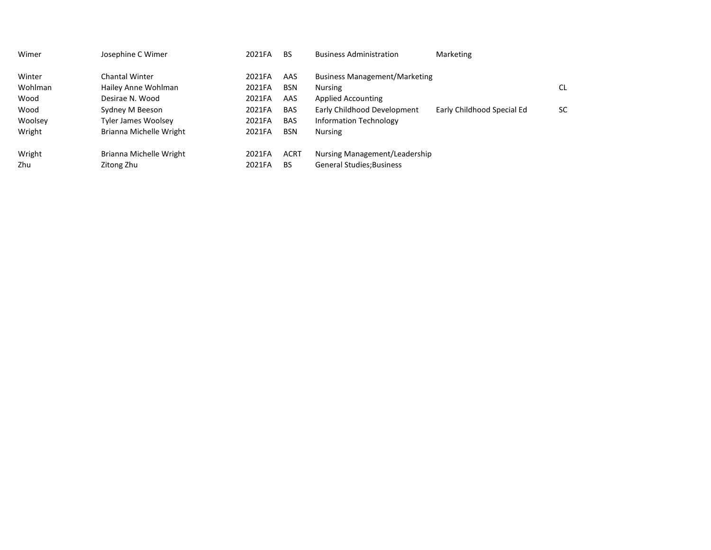| Wimer   | Josephine C Wimer       | 2021FA | <b>BS</b>   | <b>Business Administration</b>       | Marketing                  |           |
|---------|-------------------------|--------|-------------|--------------------------------------|----------------------------|-----------|
| Winter  | Chantal Winter          | 2021FA | AAS         | <b>Business Management/Marketing</b> |                            |           |
| Wohlman | Hailey Anne Wohlman     | 2021FA | <b>BSN</b>  | <b>Nursing</b>                       |                            | <b>CL</b> |
| Wood    | Desirae N. Wood         | 2021FA | AAS         | <b>Applied Accounting</b>            |                            |           |
| Wood    | Sydney M Beeson         | 2021FA | <b>BAS</b>  | Early Childhood Development          | Early Childhood Special Ed | <b>SC</b> |
| Woolsey | Tyler James Woolsey     | 2021FA | <b>BAS</b>  | <b>Information Technology</b>        |                            |           |
| Wright  | Brianna Michelle Wright | 2021FA | <b>BSN</b>  | <b>Nursing</b>                       |                            |           |
| Wright  | Brianna Michelle Wright | 2021FA | <b>ACRT</b> | Nursing Management/Leadership        |                            |           |
| Zhu     | Zitong Zhu              | 2021FA | BS          | <b>General Studies</b> ; Business    |                            |           |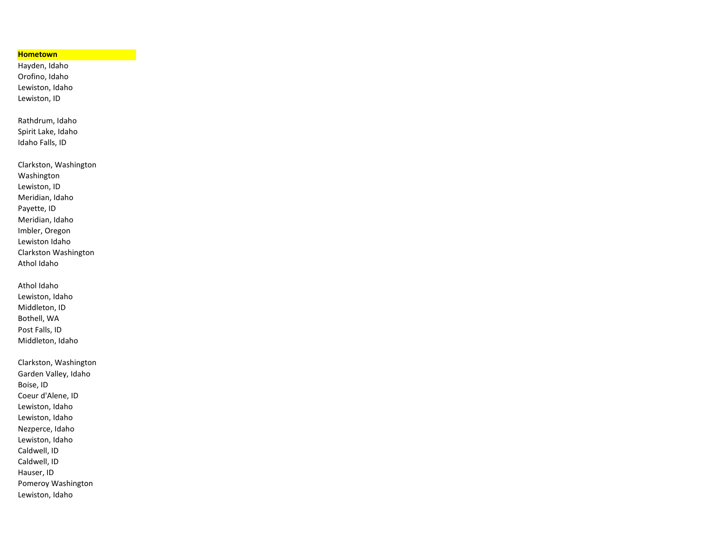## **Hometown**

Hayden, Idaho Orofino, Idaho Lewiston, Idaho Lewiston, ID

Rathdrum, Idaho Spirit Lake, Idaho Idaho Falls, ID

Clarkston, Washington Washington Lewiston, ID Meridian, Idaho Payette, ID Meridian, Idaho Imbler, Oregon Lewiston Idaho Clarkston Washington Athol Idaho

Athol Idaho Lewiston, Idaho Middleton, ID Bothell, WA Post Falls, ID Middleton, Idaho

Clarkston, Washington Garden Valley, Idaho Boise, ID Coeur d'Alene, ID Lewiston, Idaho Lewiston, Idaho Nezperce, Idaho Lewiston, Idaho Caldwell, ID Caldwell, ID Hauser, ID Pomeroy Washington Lewiston, Idaho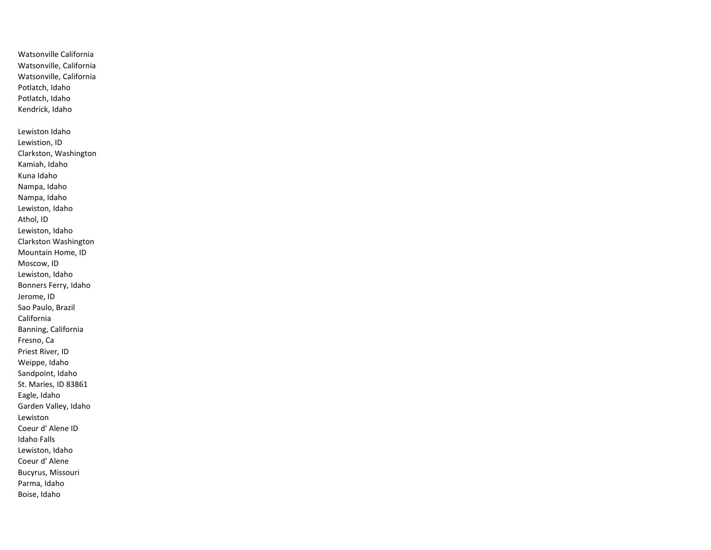Watsonville California Watsonville, California Watsonville, California Potlatch, Idaho Potlatch, Idaho Kendrick, Idaho Lewiston Idaho Lewistion, ID Clarkston, Washington Kamiah, Idaho Kuna Idaho Nampa, Idaho Nampa, Idaho Lewiston, Idaho Athol, ID Lewiston, Idaho Clarkston Washington Mountain Home, ID Moscow, ID Lewiston, Idaho Bonners Ferry, Idaho Jerome, ID Sao Paulo, Brazil California Banning, California Fresno, Ca Priest River, ID Weippe, Idaho Sandpoint, Idaho St. Maries, ID 83861 Eagle, Idaho Garden Valley, Idaho Lewiston Coeur d' Alene ID Idaho Falls Lewiston, Idaho Coeur d' Alene Bucyrus, Missouri Parma, Idaho Boise, Idaho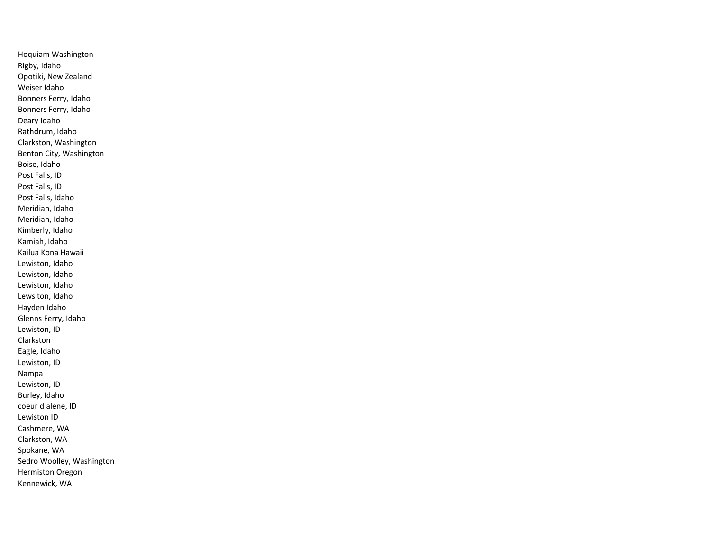Hoquiam Washington Rigby, Idaho Opotiki, New Zealand Weiser Idaho Bonners Ferry, Idaho Bonners Ferry, Idaho Deary Idaho Rathdrum, Idaho Clarkston, Washington Benton City, Washington Boise, Idaho Post Falls, ID Post Falls, ID Post Falls, Idaho Meridian, Idaho Meridian, Idaho Kimberly, Idaho Kamiah, Idaho Kailua Kona Hawaii Lewiston, Idaho Lewiston, Idaho Lewiston, Idaho Lewsiton, Idaho Hayden Idaho Glenns Ferry, Idaho Lewiston, ID Clarkston Eagle, Idaho Lewiston, ID Nampa Lewiston, ID Burley, Idaho coeur d alene, ID Lewiston ID Cashmere, WA Clarkston, WA Spokane, WA Sedro Woolley, Washington Hermiston Oregon Kennewick, WA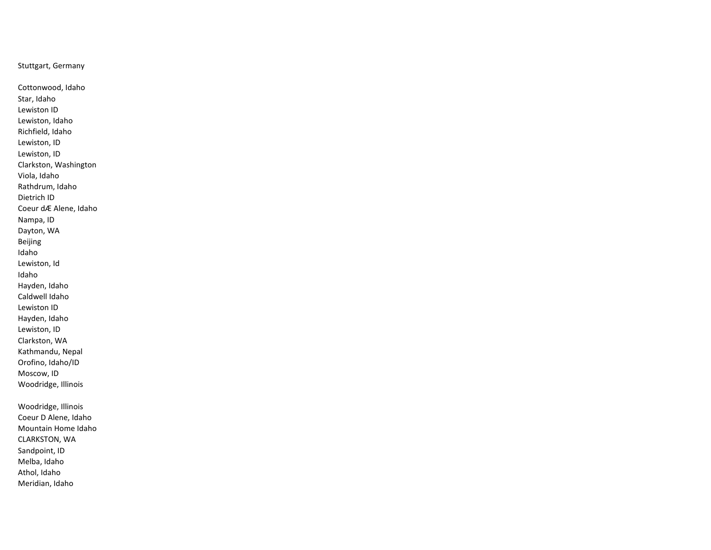Stuttgart, Germany

Cottonwood, Idaho Star, Idaho Lewiston ID Lewiston, Idaho Richfield, Idaho Lewiston, ID Lewiston, ID Clarkston, Washington Viola, Idaho Rathdrum, Idaho Dietrich ID Coeur dÆ Alene, Idaho Nampa, ID Dayton, WA Beijing Idaho Lewiston, Id Idaho Hayden, Idaho Caldwell Idaho Lewiston ID Hayden, Idaho Lewiston, ID Clarkston, WA Kathmandu, Nepal Orofino, Idaho/ID Moscow, ID Woodridge, Illinois Woodridge, Illinois Coeur D Alene, Idaho Mountain Home Idaho CLARKSTON, WA

Sandpoint, ID Melba, Idaho

Athol, Idaho

Meridian, Idaho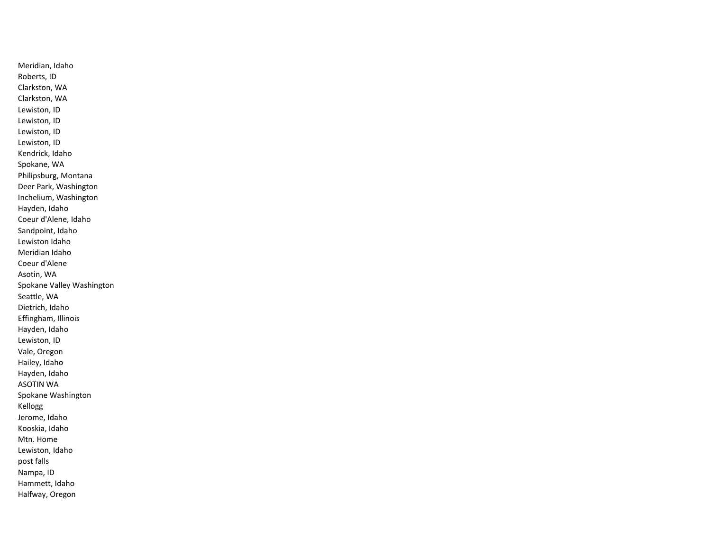Meridian, Idaho Roberts, ID Clarkston, WA Clarkston, WA Lewiston, ID Lewiston, ID Lewiston, ID Lewiston, ID Kendrick, Idaho Spokane, WA Philipsburg, Montana Deer Park, Washington Inchelium, Washington Hayden, Idaho Coeur d'Alene, Idaho Sandpoint, Idaho Lewiston Idaho Meridian Idaho Coeur d'Alene Asotin, WA Spokane Valley Washington Seattle, WA Dietrich, Idaho Effingham, Illinois Hayden, Idaho Lewiston, ID Vale, Oregon Hailey, Idaho Hayden, Idaho ASOTIN WA Spokane Washington Kellogg Jerome, Idaho Kooskia, Idaho Mtn. Home Lewiston, Idaho post falls Nampa, ID Hammett, Idaho Halfway, Oregon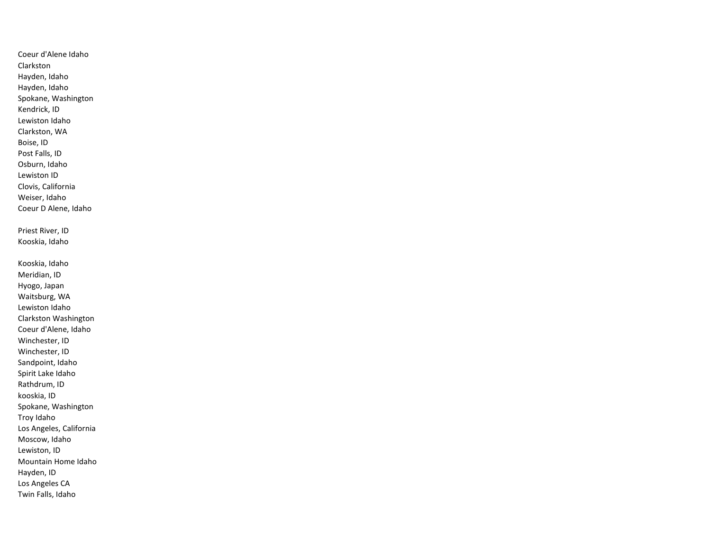Coeur d'Alene Idaho Clarkston Hayden, Idaho Hayden, Idaho Spokane, Washington Kendrick, ID Lewiston Idaho Clarkston, WA Boise, ID Post Falls, ID Osburn, Idaho Lewiston ID Clovis, California Weiser, Idaho Coeur D Alene, Idaho Priest River, ID Kooskia, Idaho Kooskia, Idaho Meridian, ID Hyogo, Japan Waitsburg, WA Lewiston Idaho Clarkston Washington Coeur d'Alene, Idaho Winchester, ID Winchester, ID Sandpoint, Idaho Spirit Lake Idaho Rathdrum, ID kooskia, ID Spokane, Washington Troy Idaho Los Angeles, California Moscow, Idaho Lewiston, ID Mountain Home Idaho Hayden, ID Los Angeles CA Twin Falls, Idaho